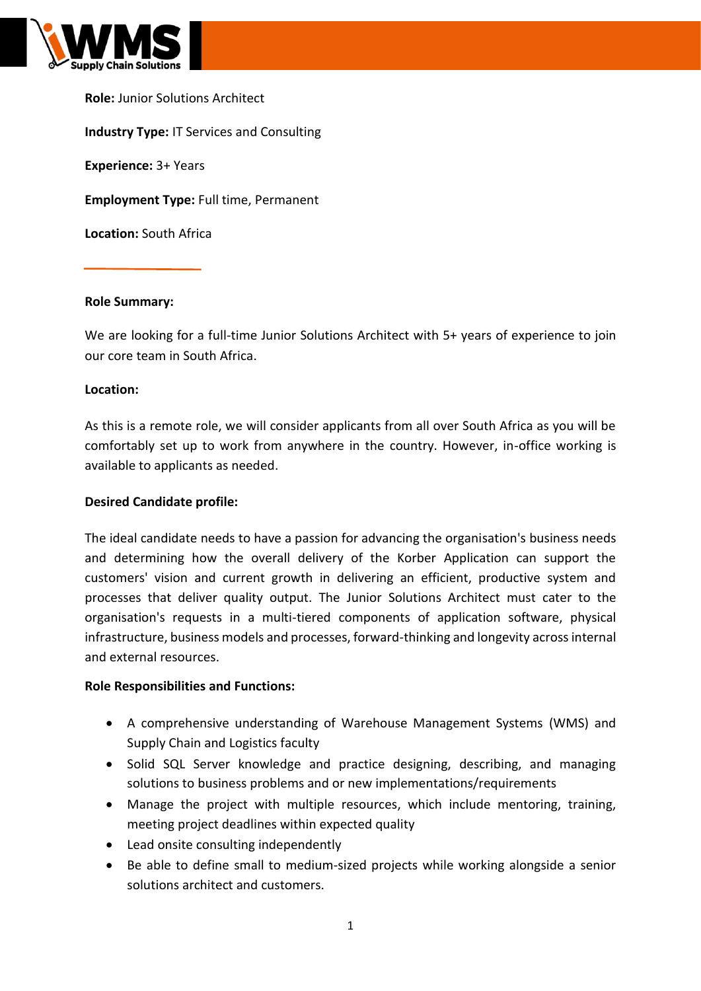

**Role:** Junior Solutions Architect **Industry Type:** IT Services and Consulting **Experience:** 3+ Years **Employment Type:** Full time, Permanent **Location:** South Africa

# **Role Summary:**

We are looking for a full-time Junior Solutions Architect with 5+ years of experience to join our core team in South Africa.

### **Location:**

As this is a remote role, we will consider applicants from all over South Africa as you will be comfortably set up to work from anywhere in the country. However, in-office working is available to applicants as needed.

### **Desired Candidate profile:**

The ideal candidate needs to have a passion for advancing the organisation's business needs and determining how the overall delivery of the Korber Application can support the customers' vision and current growth in delivering an efficient, productive system and processes that deliver quality output. The Junior Solutions Architect must cater to the organisation's requests in a multi-tiered components of application software, physical infrastructure, business models and processes, forward-thinking and longevity across internal and external resources.

#### **Role Responsibilities and Functions:**

- A comprehensive understanding of Warehouse Management Systems (WMS) and Supply Chain and Logistics faculty
- Solid SQL Server knowledge and practice designing, describing, and managing solutions to business problems and or new implementations/requirements
- Manage the project with multiple resources, which include mentoring, training, meeting project deadlines within expected quality
- Lead onsite consulting independently
- Be able to define small to medium-sized projects while working alongside a senior solutions architect and customers.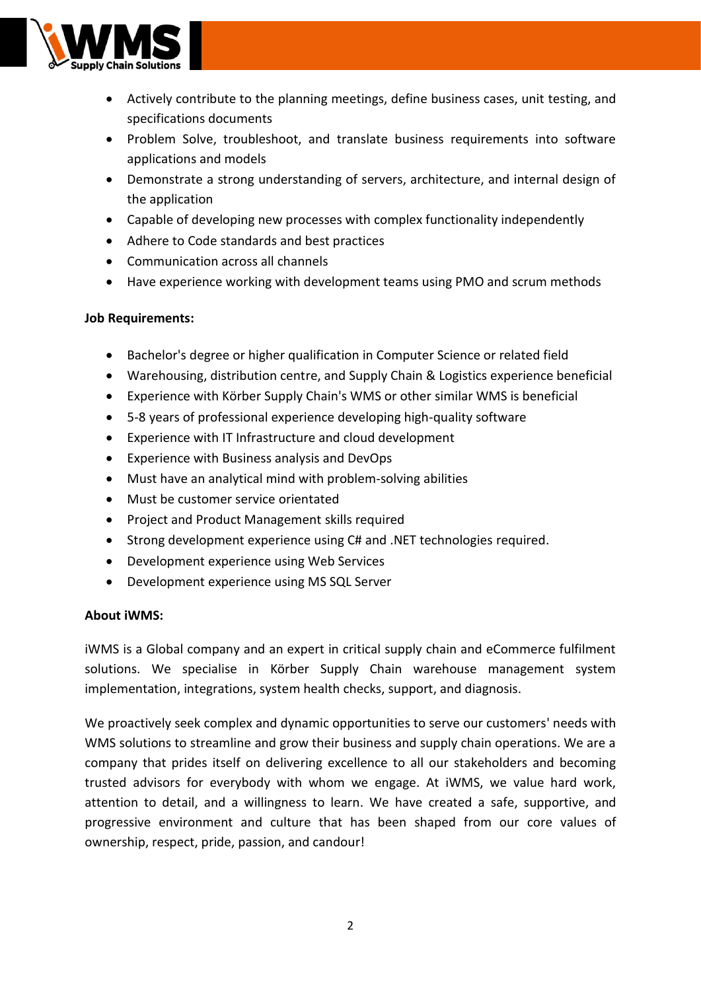

- Actively contribute to the planning meetings, define business cases, unit testing, and specifications documents
- Problem Solve, troubleshoot, and translate business requirements into software applications and models
- Demonstrate a strong understanding of servers, architecture, and internal design of the application
- Capable of developing new processes with complex functionality independently
- Adhere to Code standards and best practices
- Communication across all channels
- Have experience working with development teams using PMO and scrum methods

# **Job Requirements:**

- Bachelor's degree or higher qualification in Computer Science or related field
- Warehousing, distribution centre, and Supply Chain & Logistics experience beneficial
- Experience with Körber Supply Chain's WMS or other similar WMS is beneficial
- 5-8 years of professional experience developing high-quality software
- Experience with IT Infrastructure and cloud development
- Experience with Business analysis and DevOps
- Must have an analytical mind with problem-solving abilities
- Must be customer service orientated
- Project and Product Management skills required
- Strong development experience using C# and .NET technologies required.
- Development experience using Web Services
- Development experience using MS SQL Server

### **About iWMS:**

iWMS is a Global company and an expert in critical supply chain and eCommerce fulfilment solutions. We specialise in Körber Supply Chain warehouse management system implementation, integrations, system health checks, support, and diagnosis.

We proactively seek complex and dynamic opportunities to serve our customers' needs with WMS solutions to streamline and grow their business and supply chain operations. We are a company that prides itself on delivering excellence to all our stakeholders and becoming trusted advisors for everybody with whom we engage. At iWMS, we value hard work, attention to detail, and a willingness to learn. We have created a safe, supportive, and progressive environment and culture that has been shaped from our core values of ownership, respect, pride, passion, and candour!